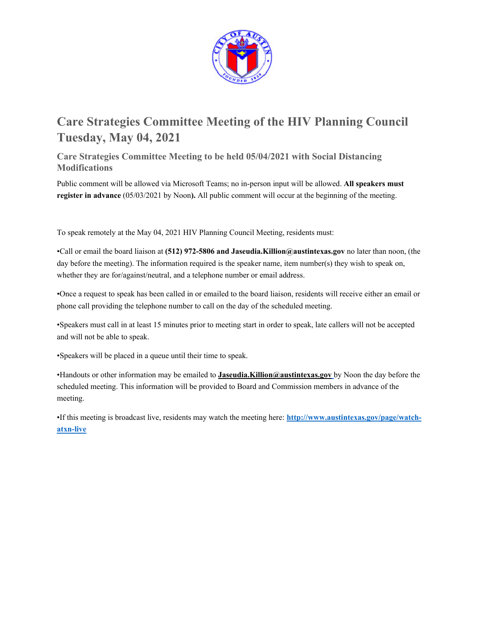

# **Care Strategies Committee Meeting of the HIV Planning Council Tuesday, May 04, 2021**

**Care Strategies Committee Meeting to be held 05/04/2021 with Social Distancing Modifications** 

Public comment will be allowed via Microsoft Teams; no in-person input will be allowed. **All speakers must register in advance** (05/03/2021 by Noon**).** All public comment will occur at the beginning of the meeting.

To speak remotely at the May 04, 2021 HIV Planning Council Meeting, residents must:

•Call or email the board liaison at **(512) 972-5806 and Jaseudia.Killion@austintexas.gov** no later than noon, (the day before the meeting). The information required is the speaker name, item number(s) they wish to speak on, whether they are for/against/neutral, and a telephone number or email address.

•Once a request to speak has been called in or emailed to the board liaison, residents will receive either an email or phone call providing the telephone number to call on the day of the scheduled meeting.

•Speakers must call in at least 15 minutes prior to meeting start in order to speak, late callers will not be accepted and will not be able to speak.

•Speakers will be placed in a queue until their time to speak.

•Handouts or other information may be emailed to **Jaseudia.Killion@austintexas.gov** by Noon the day before the scheduled meeting. This information will be provided to Board and Commission members in advance of the meeting.

•If this meeting is broadcast live, residents may watch the meeting here: **http://www.austintexas.gov/page/watchatxn-live**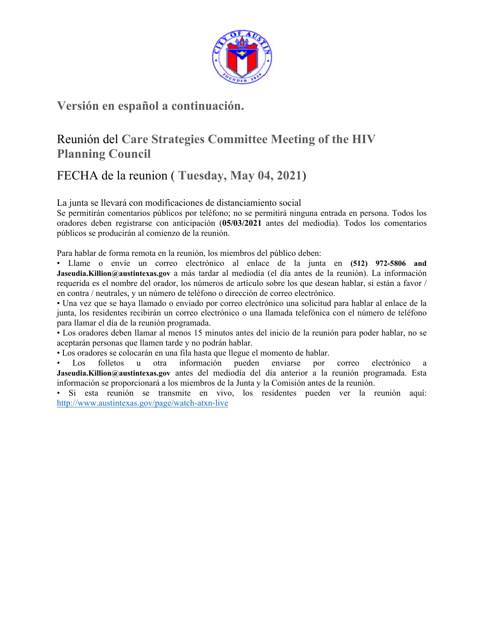

## **Versión en español a continuación.**

# Reunión del **Care Strategies Committee Meeting of the HIV Planning Council**

# FECHA de la reunion ( **Tuesday, May 04, 2021**)

La junta se llevará con modificaciones de distanciamiento social

Se permitirán comentarios públicos por teléfono; no se permitirá ninguna entrada en persona. Todos los oradores deben registrarse con anticipación (**05/03/2021** antes del mediodía). Todos los comentarios públicos se producirán al comienzo de la reunión.

Para hablar de forma remota en la reunión, los miembros del público deben:

• Llame o envíe un correo electrónico al enlace de la junta en **(512) 972-5806 and Jaseudia.Killion@austintexas.gov** a más tardar al mediodía (el día antes de la reunión). La información requerida es el nombre del orador, los números de artículo sobre los que desean hablar, si están a favor / en contra / neutrales, y un número de teléfono o dirección de correo electrónico.

• Una vez que se haya llamado o enviado por correo electrónico una solicitud para hablar al enlace de la junta, los residentes recibirán un correo electrónico o una llamada telefónica con el número de teléfono para llamar el día de la reunión programada.

• Los oradores deben llamar al menos 15 minutos antes del inicio de la reunión para poder hablar, no se aceptarán personas que llamen tarde y no podrán hablar.

• Los oradores se colocarán en una fila hasta que llegue el momento de hablar.

• Los folletos u otra información pueden enviarse por correo electrónico a **Jaseudia.Killion@austintexas.gov** antes del mediodía del día anterior a la reunión programada. Esta información se proporcionará a los miembros de la Junta y la Comisión antes de la reunión.

• Si esta reunión se transmite en vivo, los residentes pueden ver la reunión aquí: http://www.austintexas.gov/page/watch-atxn-live